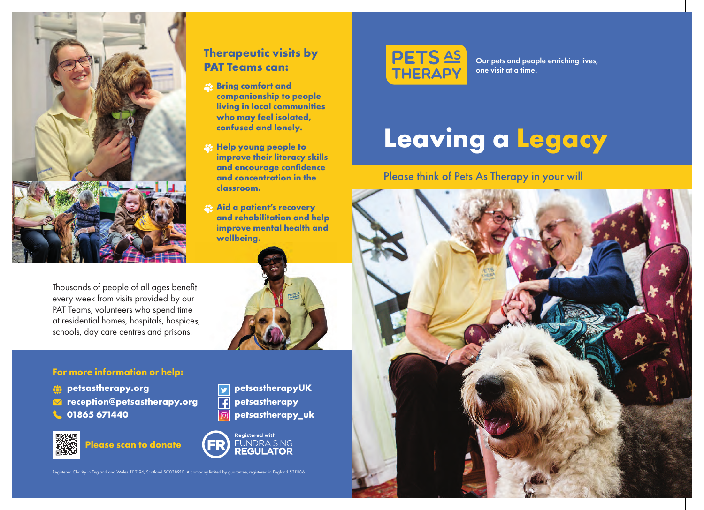

Thousands of people of all ages benefit every week from visits provided by our PAT Teams, volunteers who spend time at residential homes, hospitals, hospices, schools, day care centres and prisons.

### **For more information or help:**

- **petsastherapy.org**
- **reception@petsastherapy.org**
- **01865 671440**



**Please scan to donate**

## **Therapeutic visits by PAT Teams can:**

- **Bring comfort and companionship to people living in local communities who may feel isolated, confused and lonely.**
- **Help young people to improve their literacy skills and encourage confidence and concentration in the classroom.**
- *A Aid a patient's recovery* **and rehabilitation and help improve mental health and wellbeing.**



**petsastherapyUK petsastherapy**  $\overline{f}$  **petsastherapy\_uk**





Our pets and people enriching lives, one visit at a time.

# **Leaving a Legacy**

### Please think of Pets As Therapy in your will